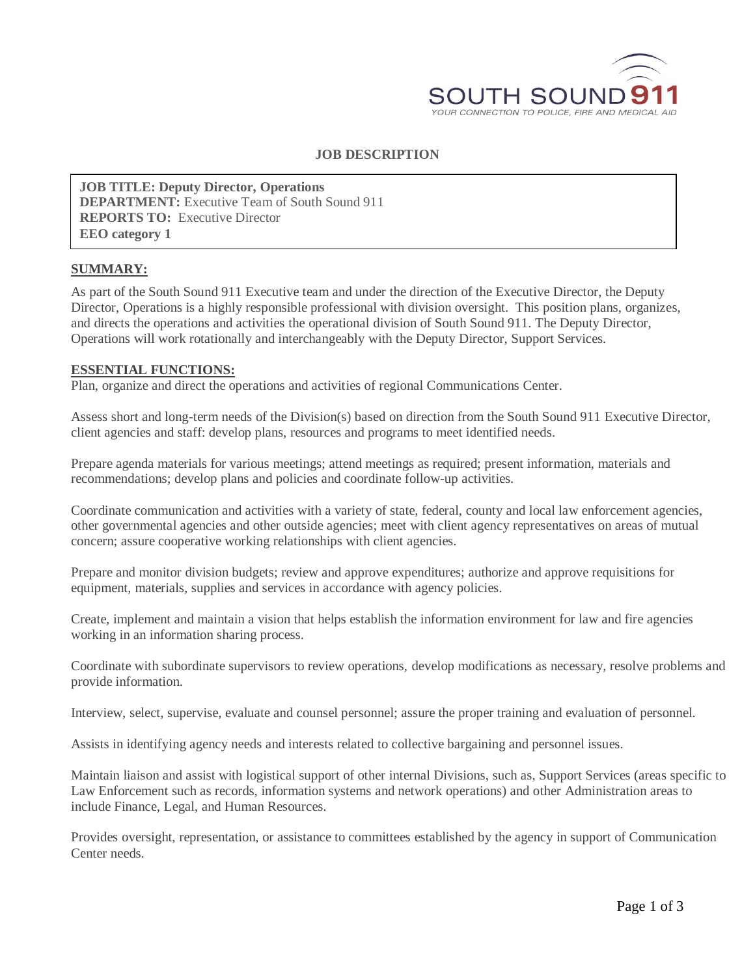

## **JOB DESCRIPTION**

**JOB TITLE: Deputy Director, Operations DEPARTMENT:** Executive Team of South Sound 911 **REPORTS TO:** Executive Director **EEO category 1**

#### **SUMMARY:**

As part of the South Sound 911 Executive team and under the direction of the Executive Director, the Deputy Director, Operations is a highly responsible professional with division oversight. This position plans, organizes, and directs the operations and activities the operational division of South Sound 911. The Deputy Director, Operations will work rotationally and interchangeably with the Deputy Director, Support Services.

#### **ESSENTIAL FUNCTIONS:**

Plan, organize and direct the operations and activities of regional Communications Center.

Assess short and long-term needs of the Division(s) based on direction from the South Sound 911 Executive Director, client agencies and staff: develop plans, resources and programs to meet identified needs.

Prepare agenda materials for various meetings; attend meetings as required; present information, materials and recommendations; develop plans and policies and coordinate follow-up activities.

Coordinate communication and activities with a variety of state, federal, county and local law enforcement agencies, other governmental agencies and other outside agencies; meet with client agency representatives on areas of mutual concern; assure cooperative working relationships with client agencies.

Prepare and monitor division budgets; review and approve expenditures; authorize and approve requisitions for equipment, materials, supplies and services in accordance with agency policies.

Create, implement and maintain a vision that helps establish the information environment for law and fire agencies working in an information sharing process.

Coordinate with subordinate supervisors to review operations, develop modifications as necessary, resolve problems and provide information.

Interview, select, supervise, evaluate and counsel personnel; assure the proper training and evaluation of personnel.

Assists in identifying agency needs and interests related to collective bargaining and personnel issues.

Maintain liaison and assist with logistical support of other internal Divisions, such as, Support Services (areas specific to Law Enforcement such as records, information systems and network operations) and other Administration areas to include Finance, Legal, and Human Resources.

Provides oversight, representation, or assistance to committees established by the agency in support of Communication Center needs.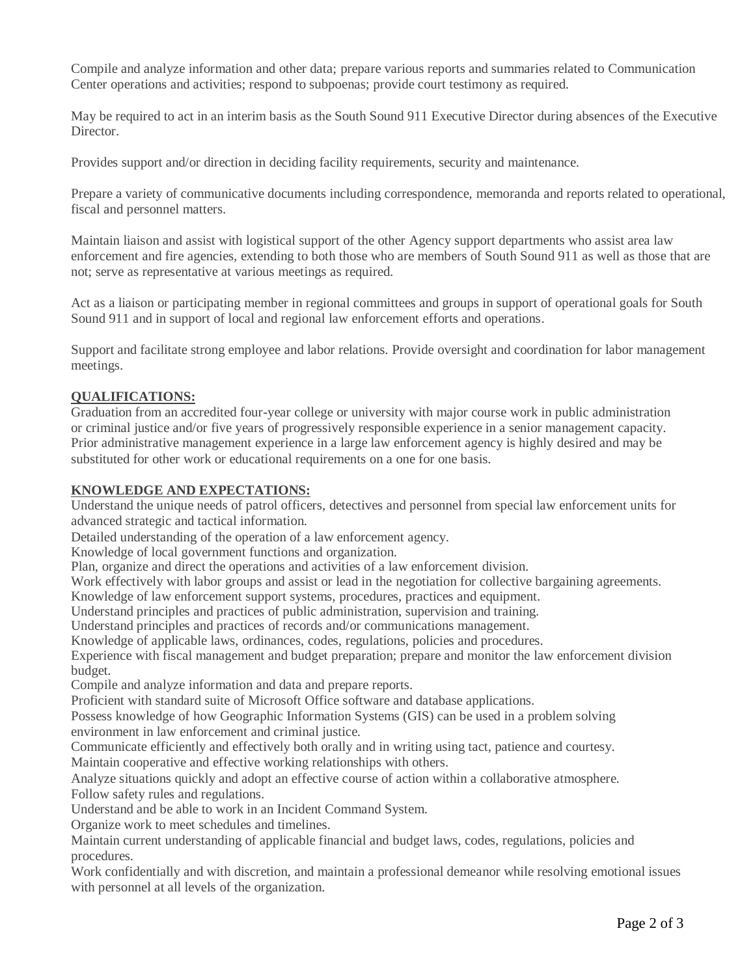Compile and analyze information and other data; prepare various reports and summaries related to Communication Center operations and activities; respond to subpoenas; provide court testimony as required.

May be required to act in an interim basis as the South Sound 911 Executive Director during absences of the Executive Director.

Provides support and/or direction in deciding facility requirements, security and maintenance.

Prepare a variety of communicative documents including correspondence, memoranda and reports related to operational, fiscal and personnel matters.

Maintain liaison and assist with logistical support of the other Agency support departments who assist area law enforcement and fire agencies, extending to both those who are members of South Sound 911 as well as those that are not; serve as representative at various meetings as required.

Act as a liaison or participating member in regional committees and groups in support of operational goals for South Sound 911 and in support of local and regional law enforcement efforts and operations.

Support and facilitate strong employee and labor relations. Provide oversight and coordination for labor management meetings.

# **QUALIFICATIONS:**

Graduation from an accredited four-year college or university with major course work in public administration or criminal justice and/or five years of progressively responsible experience in a senior management capacity. Prior administrative management experience in a large law enforcement agency is highly desired and may be substituted for other work or educational requirements on a one for one basis.

## **KNOWLEDGE AND EXPECTATIONS:**

Understand the unique needs of patrol officers, detectives and personnel from special law enforcement units for advanced strategic and tactical information.

Detailed understanding of the operation of a law enforcement agency.

Knowledge of local government functions and organization.

Plan, organize and direct the operations and activities of a law enforcement division.

Work effectively with labor groups and assist or lead in the negotiation for collective bargaining agreements.

Knowledge of law enforcement support systems, procedures, practices and equipment.

Understand principles and practices of public administration, supervision and training.

Understand principles and practices of records and/or communications management.

Knowledge of applicable laws, ordinances, codes, regulations, policies and procedures.

Experience with fiscal management and budget preparation; prepare and monitor the law enforcement division budget.

Compile and analyze information and data and prepare reports.

Proficient with standard suite of Microsoft Office software and database applications.

Possess knowledge of how Geographic Information Systems (GIS) can be used in a problem solving environment in law enforcement and criminal justice.

Communicate efficiently and effectively both orally and in writing using tact, patience and courtesy. Maintain cooperative and effective working relationships with others.

Analyze situations quickly and adopt an effective course of action within a collaborative atmosphere. Follow safety rules and regulations.

Understand and be able to work in an Incident Command System.

Organize work to meet schedules and timelines.

Maintain current understanding of applicable financial and budget laws, codes, regulations, policies and procedures.

Work confidentially and with discretion, and maintain a professional demeanor while resolving emotional issues with personnel at all levels of the organization.